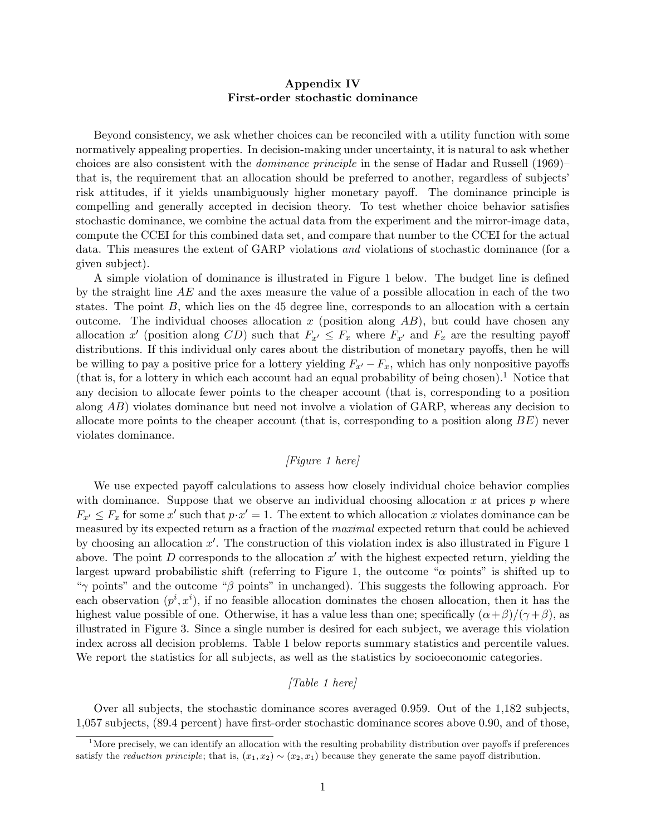## Appendix IV First-order stochastic dominance

Beyond consistency, we ask whether choices can be reconciled with a utility function with some normatively appealing properties. In decision-making under uncertainty, it is natural to ask whether choices are also consistent with the *dominance principle* in the sense of Hadar and Russell (1969) $$ that is, the requirement that an allocation should be preferred to another, regardless of subjectsí risk attitudes, if it yields unambiguously higher monetary payoff. The dominance principle is compelling and generally accepted in decision theory. To test whether choice behavior satisfies stochastic dominance, we combine the actual data from the experiment and the mirror-image data, compute the CCEI for this combined data set, and compare that number to the CCEI for the actual data. This measures the extent of GARP violations and violations of stochastic dominance (for a given subject).

A simple violation of dominance is illustrated in Figure 1 below. The budget line is defined by the straight line  $AE$  and the axes measure the value of a possible allocation in each of the two states. The point  $B$ , which lies on the 45 degree line, corresponds to an allocation with a certain outcome. The individual chooses allocation x (position along  $AB$ ), but could have chosen any allocation x' (position along CD) such that  $F_{x'} \leq F_x$  where  $F_{x'}$  and  $F_x$  are the resulting payoff distributions. If this individual only cares about the distribution of monetary payoffs, then he will be willing to pay a positive price for a lottery yielding  $F_{x'} - F_x$ , which has only nonpositive payoffs (that is, for a lottery in which each account had an equal probability of being chosen).<sup>1</sup> Notice that any decision to allocate fewer points to the cheaper account (that is, corresponding to a position along AB) violates dominance but need not involve a violation of GARP, whereas any decision to allocate more points to the cheaper account (that is, corresponding to a position along  $BE$ ) never violates dominance.

## [Figure 1 here]

We use expected payoff calculations to assess how closely individual choice behavior complies with dominance. Suppose that we observe an individual choosing allocation x at prices  $p$  where  $F_{x'} \leq F_x$  for some x' such that  $p \cdot x' = 1$ . The extent to which allocation x violates dominance can be measured by its expected return as a fraction of the maximal expected return that could be achieved by choosing an allocation  $x'$ . The construction of this violation index is also illustrated in Figure 1 above. The point D corresponds to the allocation  $x'$  with the highest expected return, yielding the largest upward probabilistic shift (referring to Figure 1, the outcome " $\alpha$  points" is shifted up to " $\gamma$  points" and the outcome " $\beta$  points" in unchanged). This suggests the following approach. For each observation  $(p^i, x^i)$ , if no feasible allocation dominates the chosen allocation, then it has the highest value possible of one. Otherwise, it has a value less than one; specifically  $(\alpha + \beta)/(\gamma + \beta)$ , as illustrated in Figure 3. Since a single number is desired for each subject, we average this violation index across all decision problems. Table 1 below reports summary statistics and percentile values. We report the statistics for all subjects, as well as the statistics by socioeconomic categories.

## [Table 1 here]

Over all subjects, the stochastic dominance scores averaged 0.959. Out of the 1,182 subjects, 1,057 subjects, (89.4 percent) have first-order stochastic dominance scores above 0.90, and of those,

<sup>&</sup>lt;sup>1</sup>More precisely, we can identify an allocation with the resulting probability distribution over payoffs if preferences satisfy the *reduction principle*; that is,  $(x_1, x_2) \sim (x_2, x_1)$  because they generate the same payoff distribution.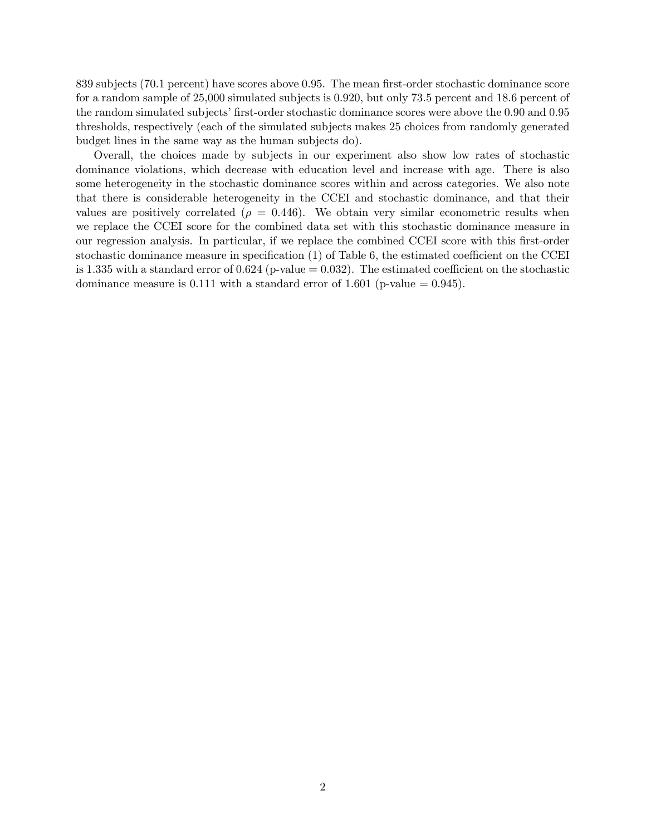839 subjects (70.1 percent) have scores above 0.95. The mean first-order stochastic dominance score for a random sample of 25,000 simulated subjects is 0.920, but only 73.5 percent and 18.6 percent of the random simulated subjects' first-order stochastic dominance scores were above the 0.90 and 0.95 thresholds, respectively (each of the simulated subjects makes 25 choices from randomly generated budget lines in the same way as the human subjects do).

Overall, the choices made by subjects in our experiment also show low rates of stochastic dominance violations, which decrease with education level and increase with age. There is also some heterogeneity in the stochastic dominance scores within and across categories. We also note that there is considerable heterogeneity in the CCEI and stochastic dominance, and that their values are positively correlated ( $\rho = 0.446$ ). We obtain very similar econometric results when we replace the CCEI score for the combined data set with this stochastic dominance measure in our regression analysis. In particular, if we replace the combined CCEI score with this first-order stochastic dominance measure in specification  $(1)$  of Table 6, the estimated coefficient on the CCEI is 1.335 with a standard error of  $0.624$  (p-value  $= 0.032$ ). The estimated coefficient on the stochastic dominance measure is 0.111 with a standard error of 1.601 (p-value  $= 0.945$ ).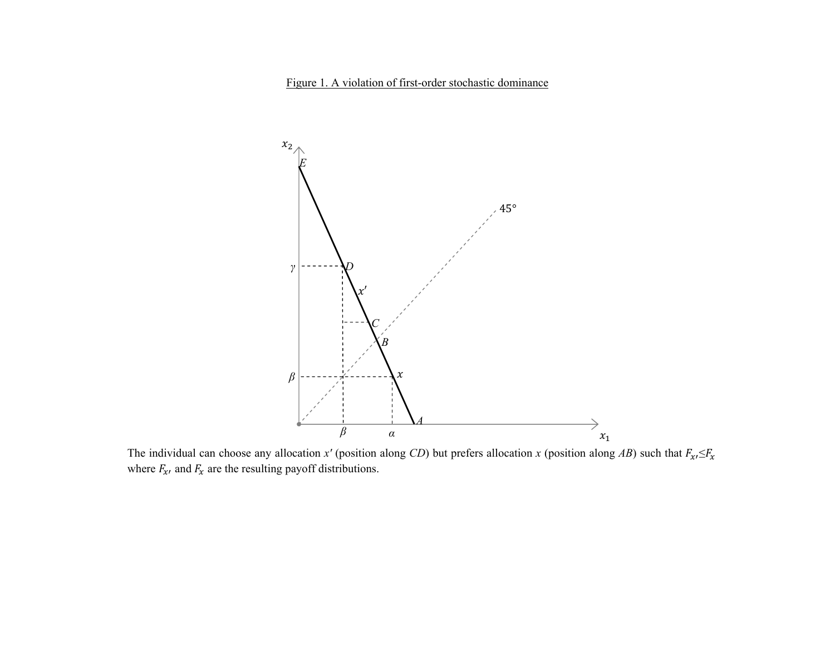

The individual can choose any allocation x' (position along CD) but prefers allocation x (position along AB) such that  $F_{\mathbf{x}'}=F_{\mathbf{x}}$ where  $F_{x}$ , and  $F_{x}$  are the resulting payoff distributions.